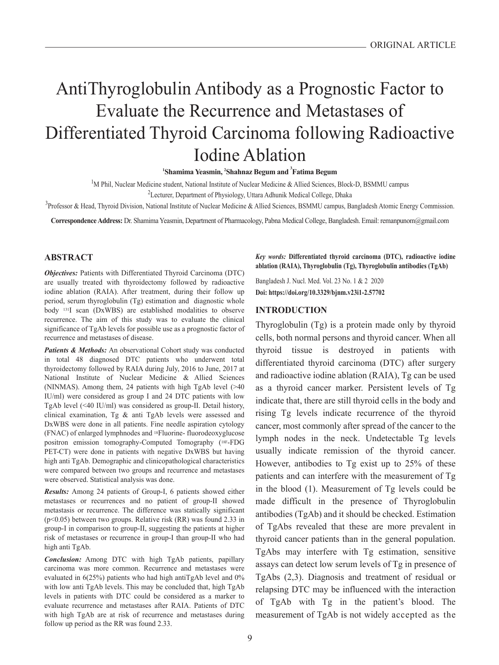# AntiThyroglobulin Antibody as a Prognostic Factor to Evaluate the Recurrence and Metastases of Differentiated Thyroid Carcinoma following Radioactive Iodine Ablation

# <sup>1</sup> Shamima Yeasmin, <sup>2</sup> Shahnaz Begum and <sup>3</sup> Fatima Begum

<sup>1</sup>M Phil, Nuclear Medicine student, National Institute of Nuclear Medicine & Allied Sciences, Block-D, BSMMU campus  $^{2}$ Lecturer, Department of Physiology, Uttara Adhunik Medical College, Dhaka

<sup>3</sup>Professor & Head, Thyroid Division, National Institute of Nuclear Medicine & Allied Sciences, BSMMU campus, Bangladesh Atomic Energy Commission.

**Correspondence Address:** Dr. Shamima Yeasmin, Department of Pharmacology, Pabna Medical College, Bangladesh. Email: remanpunom@gmail.com

### **ABSTRACT**

*Objectives:* Patients with Differentiated Thyroid Carcinoma (DTC) are usually treated with thyroidectomy followed by radioactive iodine ablation (RAIA). After treatment, during their follow up period, serum thyroglobulin (Tg) estimation and diagnostic whole body 131I scan (DxWBS) are established modalities to observe recurrence. The aim of this study was to evaluate the clinical significance of TgAb levels for possible use as a prognostic factor of recurrence and metastases of disease.

*Patients & Methods:* An observational Cohort study was conducted in total 48 diagnosed DTC patients who underwent total thyroidectomy followed by RAIA during July, 2016 to June, 2017 at National Institute of Nuclear Medicine & Allied Sciences (NINMAS). Among them, 24 patients with high TgAb level (>40 IU/ml) were considered as group I and 24 DTC patients with low TgAb level (<40 IU/ml) was considered as group-II. Detail history, clinical examination, Tg & anti TgAb levels were assessed and DxWBS were done in all patients. Fine needle aspiration cytology (FNAC) of enlarged lymphnodes and 18Fluorine- fluorodeoxyglucose positron emission tomography-Computed Tomography (18F-FDG PET-CT) were done in patients with negative DxWBS but having high anti TgAb. Demographic and clinicopathological characteristics were compared between two groups and recurrence and metastases were observed. Statistical analysis was done.

*Results:* Among 24 patients of Group-I, 6 patients showed either metastases or recurrences and no patient of group-II showed metastasis or recurrence. The difference was statically significant (p<0.05) between two groups. Relative risk (RR) was found 2.33 in group-I in comparison to group-II, suggesting the patients at higher risk of metastases or recurrence in group-I than group-II who had high anti TgAb.

*Conclusion:* Among DTC with high TgAb patients, papillary carcinoma was more common. Recurrence and metastases were evaluated in 6(25%) patients who had high antiTgAb level and 0% with low anti TgAb levels. This may be concluded that, high TgAb levels in patients with DTC could be considered as a marker to evaluate recurrence and metastases after RAIA. Patients of DTC with high TgAb are at risk of recurrence and metastases during follow up period as the RR was found 2.33.

*Key words:* **Differentiated thyroid carcinoma (DTC), radioactive iodine ablation (RAIA), Thyroglobulin (Tg), Thyroglobulin antibodies (TgAb)**

Bangladesh J. Nucl. Med. Vol. 23 No. 1 & 2 2020 **Doi: https://doi.org/10.3329/bjnm.v23i1-2.57702**

# **INTRODUCTION**

Thyroglobulin (Tg) is a protein made only by thyroid cells, both normal persons and thyroid cancer. When all thyroid tissue is destroyed in patients with differentiated thyroid carcinoma (DTC) after surgery and radioactive iodine ablation (RAIA), Tg can be used as a thyroid cancer marker. Persistent levels of Tg indicate that, there are still thyroid cells in the body and rising Tg levels indicate recurrence of the thyroid cancer, most commonly after spread of the cancer to the lymph nodes in the neck. Undetectable Tg levels usually indicate remission of the thyroid cancer. However, antibodies to Tg exist up to 25% of these patients and can interfere with the measurement of Tg in the blood (1). Measurement of Tg levels could be made difficult in the presence of Thyroglobulin antibodies (TgAb) and it should be checked. Estimation of TgAbs revealed that these are more prevalent in thyroid cancer patients than in the general population. TgAbs may interfere with Tg estimation, sensitive assays can detect low serum levels of Tg in presence of TgAbs (2,3). Diagnosis and treatment of residual or relapsing DTC may be influenced with the interaction of TgAb with Tg in the patient's blood. The measurement of TgAb is not widely accepted as the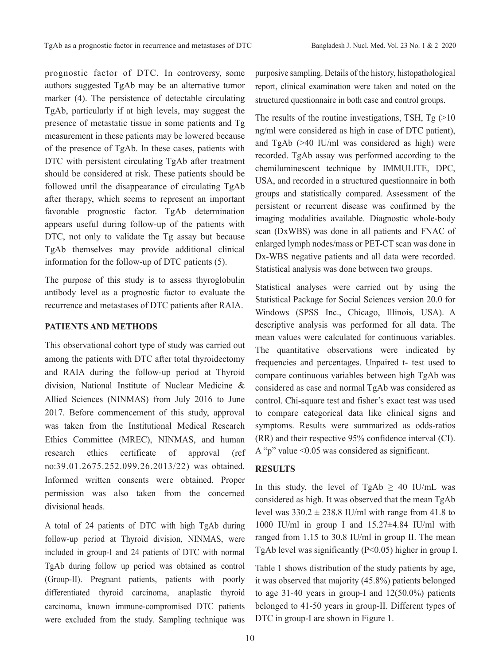prognostic factor of DTC. In controversy, some authors suggested TgAb may be an alternative tumor marker (4). The persistence of detectable circulating TgAb, particularly if at high levels, may suggest the presence of metastatic tissue in some patients and Tg measurement in these patients may be lowered because of the presence of TgAb. In these cases, patients with DTC with persistent circulating TgAb after treatment should be considered at risk. These patients should be followed until the disappearance of circulating TgAb after therapy, which seems to represent an important favorable prognostic factor. TgAb determination appears useful during follow-up of the patients with DTC, not only to validate the Tg assay but because TgAb themselves may provide additional clinical information for the follow-up of DTC patients (5).

The purpose of this study is to assess thyroglobulin antibody level as a prognostic factor to evaluate the recurrence and metastases of DTC patients after RAIA.

# **PATIENTS AND METHODS**

This observational cohort type of study was carried out among the patients with DTC after total thyroidectomy and RAIA during the follow-up period at Thyroid division, National Institute of Nuclear Medicine & Allied Sciences (NINMAS) from July 2016 to June 2017. Before commencement of this study, approval was taken from the Institutional Medical Research Ethics Committee (MREC), NINMAS, and human research ethics certificate of approval (ref no:39.01.2675.252.099.26.2013/22) was obtained. Informed written consents were obtained. Proper permission was also taken from the concerned divisional heads.

A total of 24 patients of DTC with high TgAb during follow-up period at Thyroid division, NINMAS, were included in group-I and 24 patients of DTC with normal TgAb during follow up period was obtained as control (Group-II). Pregnant patients, patients with poorly differentiated thyroid carcinoma, anaplastic thyroid carcinoma, known immune-compromised DTC patients were excluded from the study. Sampling technique was purposive sampling. Details of the history, histopathological report, clinical examination were taken and noted on the structured questionnaire in both case and control groups.

The results of the routine investigations, TSH,  $Tg$  ( $>10$ ) ng/ml were considered as high in case of DTC patient), and TgAb (>40 IU/ml was considered as high) were recorded. TgAb assay was performed according to the chemiluminescent technique by IMMULITE, DPC, USA, and recorded in a structured questionnaire in both groups and statistically compared. Assessment of the persistent or recurrent disease was confirmed by the imaging modalities available. Diagnostic whole-body scan (DxWBS) was done in all patients and FNAC of enlarged lymph nodes/mass or PET-CT scan was done in Dx-WBS negative patients and all data were recorded. Statistical analysis was done between two groups.

Statistical analyses were carried out by using the Statistical Package for Social Sciences version 20.0 for Windows (SPSS Inc., Chicago, Illinois, USA). A descriptive analysis was performed for all data. The mean values were calculated for continuous variables. The quantitative observations were indicated by frequencies and percentages. Unpaired t- test used to compare continuous variables between high TgAb was considered as case and normal TgAb was considered as control. Chi-square test and fisher's exact test was used to compare categorical data like clinical signs and symptoms. Results were summarized as odds-ratios (RR) and their respective 95% confidence interval (CI). A "p" value <0.05 was considered as significant.

# **RESULTS**

In this study, the level of TgAb  $\geq$  40 IU/mL was considered as high. It was observed that the mean TgAb level was  $330.2 \pm 238.8$  IU/ml with range from 41.8 to 1000 IU/ml in group I and 15.27±4.84 IU/ml with ranged from 1.15 to 30.8 IU/ml in group II. The mean TgAb level was significantly (P<0.05) higher in group I.

Table 1 shows distribution of the study patients by age, it was observed that majority (45.8%) patients belonged to age 31-40 years in group-I and  $12(50.0\%)$  patients belonged to 41-50 years in group-II. Different types of DTC in group-I are shown in Figure 1.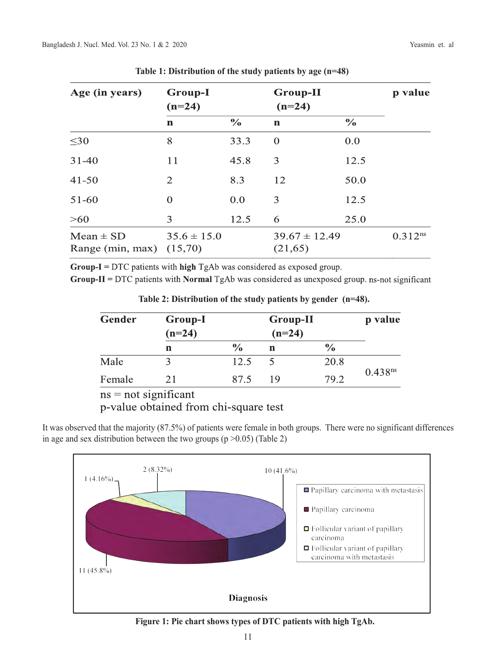| Age (in years)                              | <b>Group-I</b><br>$(n=24)$ |               | <b>Group-II</b><br>$(n=24)$   |               | p value      |
|---------------------------------------------|----------------------------|---------------|-------------------------------|---------------|--------------|
|                                             | $\mathbf n$                | $\frac{6}{6}$ | $\mathbf n$                   | $\frac{0}{0}$ |              |
| $\leq 30$                                   | 8                          | 33.3          | $\mathbf{0}$                  | 0.0           |              |
| $31 - 40$                                   | 11                         | 45.8          | 3                             | 12.5          |              |
| $41 - 50$                                   | $\overline{2}$             | 8.3           | 12                            | 50.0          |              |
| $51 - 60$                                   | $\overline{0}$             | 0.0           | 3                             | 12.5          |              |
| >60                                         | 3                          | 12.5          | 6                             | 25.0          |              |
| $Mean \pm SD$<br>Range (min, max) $(15,70)$ | $35.6 \pm 15.0$            |               | $39.67 \pm 12.49$<br>(21, 65) |               | $0.312^{ns}$ |

**Table 1: Distribution of the study patients by age (n=48)**

Group- $I = DTC$  patients with high TgAb was considered as exposed group.  $Group-II = DTC$  patients with Normal TgAb was considered as unexposed group. ns-not significant

| <b>Gender</b> | Group-I  |               | <b>Group-II</b> | p value       |                     |
|---------------|----------|---------------|-----------------|---------------|---------------------|
|               | $(n=24)$ |               | $(n=24)$        |               |                     |
|               | n        | $\frac{0}{0}$ | n               | $\frac{0}{0}$ |                     |
| Male          |          | 12.5          |                 | 20.8          | 0.438 <sup>ns</sup> |
| Female        | 21       |               | 10              | 79.2          |                     |

**Table 2: Distribution of the study patients by gender (n=48).**

 $ns = not significant$ 

p-value obtained from chi-square test

It was observed that the majority (87.5%) of patients were female in both groups. There were no significant differences in age and sex distribution between the two groups  $(p > 0.05)$  (Table 2)



**Figure 1: Pie chart shows types of DTC patients with high TgAb.**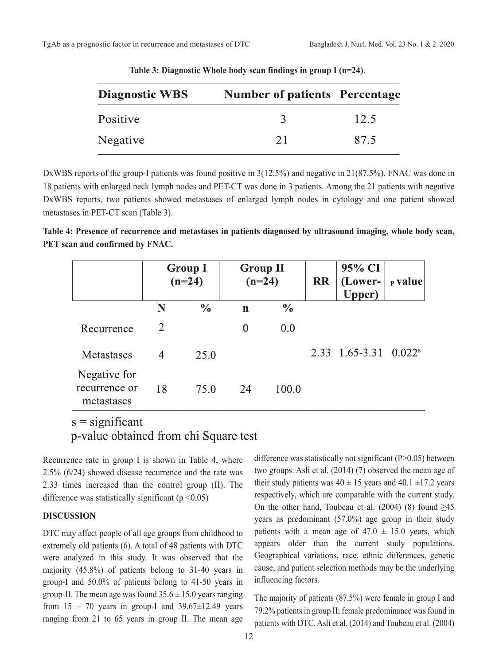| <b>Diagnostic WBS</b> | <b>Number of patients Percentage</b> |      |
|-----------------------|--------------------------------------|------|
| Positive              |                                      | 12.5 |
| Negative              | $\mathcal{D}$ 1                      | 87.5 |

**Table 3: Diagnostic Whole body scan findings in group I (n=24)**.

DxWBS reports of the group-I patients was found positive in 3(12.5%) and negative in 21(87.5%). FNAC was done in 18 patients with enlarged neck lymph nodes and PET-CT was done in 3 patients. Among the 21 patients with negative DxWBS reports, two patients showed metastases of enlarged lymph nodes in cytology and one patient showed metastases in PET-CT scan (Table 3).

**Table 4: Presence of recurrence and metastases in patients diagnosed by ultrasound imaging, whole body scan, PET scan and confirmed by FNAC.**

|                                             | <b>Group I</b><br>$(n=24)$ |               | <b>Group II</b><br>$(n=24)$ |               | <b>RR</b> | 95% CI<br>(Lower-<br>Upper)       | p value |
|---------------------------------------------|----------------------------|---------------|-----------------------------|---------------|-----------|-----------------------------------|---------|
|                                             | N                          | $\frac{6}{6}$ | $\mathbf n$                 | $\frac{0}{0}$ |           |                                   |         |
| Recurrence                                  | 2                          |               | $\theta$                    | 0.0           |           |                                   |         |
| <b>Metastases</b>                           | $\overline{4}$             | 25.0          |                             |               |           | 2.33 1.65-3.31 0.022 <sup>s</sup> |         |
| Negative for<br>recurrence or<br>metastases | 18                         | 75.0          | 24                          | 100.0         |           |                                   |         |

# $s =$  significant

p-value obtained from chi Square test

Recurrence rate in group I is shown in Table 4, where 2.5% (6/24) showed disease recurrence and the rate was 2.33 times increased than the control group (II). The difference was statistically significant ( $p \le 0.05$ )

#### **DISCUSSION**

DTC may affect people of all age groups from childhood to extremely old patients (6). A total of 48 patients with DTC were analyzed in this study. It was observed that the majority (45.8%) of patients belong to 31-40 years in group-I and 50.0% of patients belong to 41-50 years in group-II. The mean age was found  $35.6 \pm 15.0$  years ranging from  $15 - 70$  years in group-I and  $39.67 \pm 12.49$  years ranging from 21 to 65 years in group II. The mean age

difference was statistically not significant (P>0.05) between two groups. Asli et al. (2014) (7) observed the mean age of their study patients was  $40 \pm 15$  years and  $40.1 \pm 17.2$  years respectively, which are comparable with the current study. On the other hand, Toubeau et al. (2004) (8) found  $\geq 45$ years as predominant (57.0%) age group in their study patients with a mean age of  $47.0 \pm 15.0$  years, which appears older than the current study populations. Geographical variations, race, ethnic differences, genetic cause, and patient selection methods may be the underlying influencing factors.

The majority of patients (87.5%) were female in group I and 79.2% patients in group II; female predominance was found in patients with DTC. Asli et al. (2014) and Toubeau et al. (2004)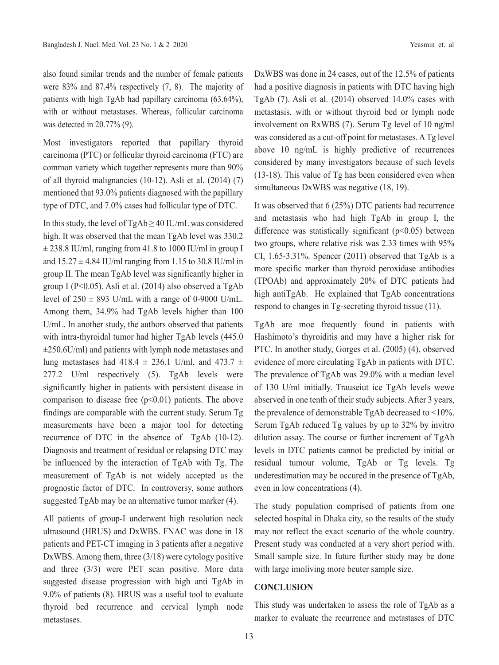also found similar trends and the number of female patients were 83% and 87.4% respectively (7, 8). The majority of patients with high TgAb had papillary carcinoma (63.64%), with or without metastases. Whereas, follicular carcinoma was detected in 20.77% (9).

Most investigators reported that papillary thyroid carcinoma (PTC) or follicular thyroid carcinoma (FTC) are common variety which together represents more than 90% of all thyroid malignancies (10-12). Asli et al. (2014) (7) mentioned that 93.0% patients diagnosed with the papillary type of DTC, and 7.0% cases had follicular type of DTC.

In this study, the level of  $TgAb \ge 40$  IU/mL was considered high. It was observed that the mean TgAb level was 330.2  $\pm$  238.8 IU/ml, ranging from 41.8 to 1000 IU/ml in group I and  $15.27 \pm 4.84$  IU/ml ranging from 1.15 to 30.8 IU/ml in group II. The mean TgAb level was significantly higher in group I (P<0.05). Asli et al. (2014) also observed a TgAb level of  $250 \pm 893$  U/mL with a range of 0-9000 U/mL. Among them, 34.9% had TgAb levels higher than 100 U/mL. In another study, the authors observed that patients with intra-thyroidal tumor had higher TgAb levels (445.0 ±250.6U/ml) and patients with lymph node metastases and lung metastases had 418.4  $\pm$  236.1 U/ml, and 473.7  $\pm$ 277.2 U/ml respectively (5). TgAb levels were significantly higher in patients with persistent disease in comparison to disease free  $(p<0.01)$  patients. The above findings are comparable with the current study. Serum Tg measurements have been a major tool for detecting recurrence of DTC in the absence of TgAb (10-12). Diagnosis and treatment of residual or relapsing DTC may be influenced by the interaction of TgAb with Tg. The measurement of TgAb is not widely accepted as the prognostic factor of DTC. In controversy, some authors suggested TgAb may be an alternative tumor marker (4).

All patients of group-I underwent high resolution neck ultrasound (HRUS) and DxWBS. FNAC was done in 18 patients and PET-CT imaging in 3 patients after a negative DxWBS. Among them, three (3/18) were cytology positive and three (3/3) were PET scan positive. More data suggested disease progression with high anti TgAb in 9.0% of patients (8). HRUS was a useful tool to evaluate thyroid bed recurrence and cervical lymph node metastases.

DxWBS was done in 24 cases, out of the 12.5% of patients had a positive diagnosis in patients with DTC having high TgAb (7). Asli et al. (2014) observed 14.0% cases with metastasis, with or without thyroid bed or lymph node involvement on RxWBS (7). Serum Tg level of 10 ng/ml was considered as a cut-off point for metastases. A Tg level above 10 ng/mL is highly predictive of recurrences considered by many investigators because of such levels (13-18). This value of Tg has been considered even when simultaneous DxWBS was negative (18, 19).

It was observed that 6 (25%) DTC patients had recurrence and metastasis who had high TgAb in group I, the difference was statistically significant (p<0.05) between two groups, where relative risk was 2.33 times with 95% CI,  $1.65-3.31\%$ . Spencer (2011) observed that TgAb is a more specific marker than thyroid peroxidase antibodies (TPOAb) and approximately 20% of DTC patients had high antiTgAb. He explained that TgAb concentrations respond to changes in Tg-secreting thyroid tissue (11).

TgAb are moe frequently found in patients with Hashimoto's thyroiditis and may have a higher risk for PTC. In another study, Gorges et al. (2005) (4), observed evidence of more circulating TgAb in patients with DTC. The prevalence of TgAb was 29.0% with a median level of 130 U/ml initially. Trauseiut ice TgAb levels wewe abserved in one tenth of their study subjects. After 3 years, the prevalence of demonstrable TgAb decreased to <10%. Serum TgAb reduced Tg values by up to 32% by invitro dilution assay. The course or further increment of TgAb levels in DTC patients cannot be predicted by initial or residual tumour volume, TgAb or Tg levels. Tg underestimation may be occured in the presence of TgAb, even in low concentrations (4).

The study population comprised of patients from one selected hospital in Dhaka city, so the results of the study may not reflect the exact scenario of the whole country. Present study was conducted at a very short period with. Small sample size. In future further study may be done with large imoliving more beuter sample size.

# **CONCLUSION**

This study was undertaken to assess the role of TgAb as a marker to evaluate the recurrence and metastases of DTC